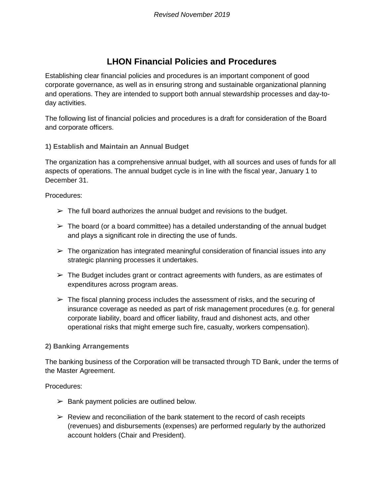# **LHON Financial Policies and Procedures**

Establishing clear financial policies and procedures is an important component of good corporate governance, as well as in ensuring strong and sustainable organizational planning and operations. They are intended to support both annual stewardship processes and day-today activities.

The following list of financial policies and procedures is a draft for consideration of the Board and corporate officers.

### **1) Establish and Maintain an Annual Budget**

The organization has a comprehensive annual budget, with all sources and uses of funds for all aspects of operations. The annual budget cycle is in line with the fiscal year, January 1 to December 31.

Procedures:

- $\geq$  The full board authorizes the annual budget and revisions to the budget.
- $\triangleright$  The board (or a board committee) has a detailed understanding of the annual budget and plays a significant role in directing the use of funds.
- $\triangleright$  The organization has integrated meaningful consideration of financial issues into any strategic planning processes it undertakes.
- $\triangleright$  The Budget includes grant or contract agreements with funders, as are estimates of expenditures across program areas.
- $\triangleright$  The fiscal planning process includes the assessment of risks, and the securing of insurance coverage as needed as part of risk management procedures (e.g. for general corporate liability, board and officer liability, fraud and dishonest acts, and other operational risks that might emerge such fire, casualty, workers compensation).

#### **2) Banking Arrangements**

The banking business of the Corporation will be transacted through TD Bank, under the terms of the Master Agreement.

Procedures:

- $\triangleright$  Bank payment policies are outlined below.
- $\triangleright$  Review and reconciliation of the bank statement to the record of cash receipts (revenues) and disbursements (expenses) are performed regularly by the authorized account holders (Chair and President).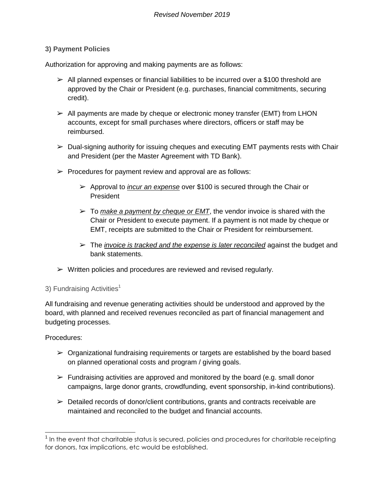## **3) Payment Policies**

Authorization for approving and making payments are as follows:

- $\triangleright$  All planned expenses or financial liabilities to be incurred over a \$100 threshold are approved by the Chair or President (e.g. purchases, financial commitments, securing credit).
- $\triangleright$  All payments are made by cheque or electronic money transfer (EMT) from LHON accounts, except for small purchases where directors, officers or staff may be reimbursed.
- $\triangleright$  Dual-signing authority for issuing cheques and executing EMT payments rests with Chair and President (per the Master Agreement with TD Bank).
- $\triangleright$  Procedures for payment review and approval are as follows:
	- ➢ Approval to *incur an expense* over \$100 is secured through the Chair or President
	- $\geq$  To *make a payment by cheque or EMT*, the vendor invoice is shared with the Chair or President to execute payment. If a payment is not made by cheque or EMT, receipts are submitted to the Chair or President for reimbursement.
	- ➢ The *invoice is tracked and the expense is later reconciled* against the budget and bank statements.
- $\triangleright$  Written policies and procedures are reviewed and revised regularly.

## 3) Fundraising Activities<sup>1</sup>

All fundraising and revenue generating activities should be understood and approved by the board, with planned and received revenues reconciled as part of financial management and budgeting processes.

Procedures:

- $\triangleright$  Organizational fundraising requirements or targets are established by the board based on planned operational costs and program / giving goals.
- $\triangleright$  Fundraising activities are approved and monitored by the board (e.g. small donor campaigns, large donor grants, crowdfunding, event sponsorship, in-kind contributions).
- $\triangleright$  Detailed records of donor/client contributions, grants and contracts receivable are maintained and reconciled to the budget and financial accounts.

 1 In the event that charitable status is secured, policies and procedures for charitable receipting for donors, tax implications, etc would be established.